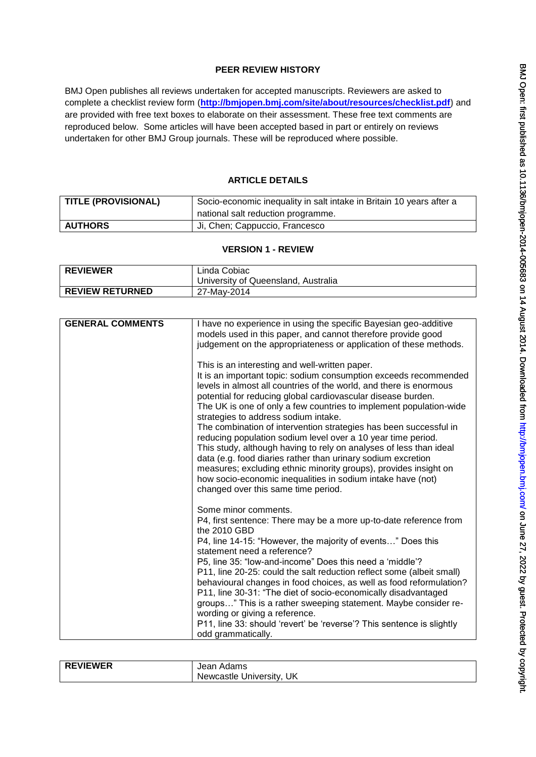### **PEER REVIEW HISTORY**

BMJ Open publishes all reviews undertaken for accepted manuscripts. Reviewers are asked to complete a checklist review form (**[http://bmjopen.bmj.com/site/about/resources/checklist.pdf\)](http://bmjopen.bmj.com/site/about/resources/checklist.pdf)** and are provided with free text boxes to elaborate on their assessment. These free text comments are reproduced below. Some articles will have been accepted based in part or entirely on reviews undertaken for other BMJ Group journals. These will be reproduced where possible.

## **ARTICLE DETAILS**

| <b>TITLE (PROVISIONAL)</b> | Socio-economic inequality in salt intake in Britain 10 years after a |  |  |
|----------------------------|----------------------------------------------------------------------|--|--|
|                            | national salt reduction programme.                                   |  |  |
| <b>AUTHORS</b>             | Ji, Chen; Cappuccio, Francesco                                       |  |  |

### **VERSION 1 - REVIEW**

| <b>REVIEWER</b>        | Linda Cobiac                        |  |
|------------------------|-------------------------------------|--|
|                        | University of Queensland. Australia |  |
| <b>REVIEW RETURNED</b> | 27-May-2014                         |  |

| <b>GENERAL COMMENTS</b> | I have no experience in using the specific Bayesian geo-additive<br>models used in this paper, and cannot therefore provide good<br>judgement on the appropriateness or application of these methods.                                                                                                                                                                                                                                                                                                                                                                                                                                                                                                                                                                                                                       |
|-------------------------|-----------------------------------------------------------------------------------------------------------------------------------------------------------------------------------------------------------------------------------------------------------------------------------------------------------------------------------------------------------------------------------------------------------------------------------------------------------------------------------------------------------------------------------------------------------------------------------------------------------------------------------------------------------------------------------------------------------------------------------------------------------------------------------------------------------------------------|
|                         | This is an interesting and well-written paper.<br>It is an important topic: sodium consumption exceeds recommended<br>levels in almost all countries of the world, and there is enormous<br>potential for reducing global cardiovascular disease burden.<br>The UK is one of only a few countries to implement population-wide<br>strategies to address sodium intake.<br>The combination of intervention strategies has been successful in<br>reducing population sodium level over a 10 year time period.<br>This study, although having to rely on analyses of less than ideal<br>data (e.g. food diaries rather than urinary sodium excretion<br>measures; excluding ethnic minority groups), provides insight on<br>how socio-economic inequalities in sodium intake have (not)<br>changed over this same time period. |
|                         | Some minor comments.<br>P4, first sentence: There may be a more up-to-date reference from<br>the 2010 GBD<br>P4, line 14-15: "However, the majority of events" Does this<br>statement need a reference?<br>P5, line 35: "low-and-income" Does this need a 'middle'?<br>P11, line 20-25: could the salt reduction reflect some (albeit small)<br>behavioural changes in food choices, as well as food reformulation?<br>P11, line 30-31: "The diet of socio-economically disadvantaged<br>groups" This is a rather sweeping statement. Maybe consider re-<br>wording or giving a reference.<br>P11, line 33: should 'revert' be 'reverse'? This sentence is slightly<br>odd grammatically.                                                                                                                                   |

| <b>EVIEWER</b><br>. RF | Adams<br>Jean               |
|------------------------|-----------------------------|
|                        | UK<br>Newcastle University, |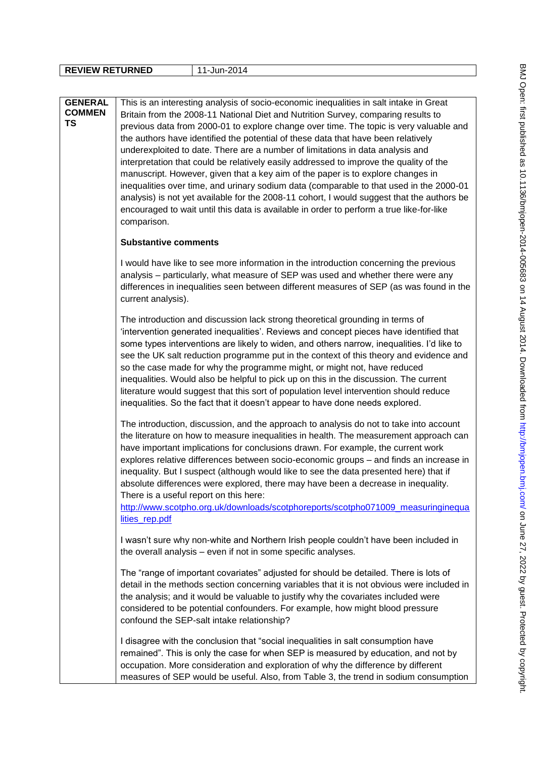|  |  |  |  | l 1-Jun-2014 |  |  |
|--|--|--|--|--------------|--|--|
|--|--|--|--|--------------|--|--|

| <b>GENERAL</b><br><b>COMMEN</b><br>TS | This is an interesting analysis of socio-economic inequalities in salt intake in Great<br>Britain from the 2008-11 National Diet and Nutrition Survey, comparing results to<br>previous data from 2000-01 to explore change over time. The topic is very valuable and<br>the authors have identified the potential of these data that have been relatively<br>underexploited to date. There are a number of limitations in data analysis and<br>interpretation that could be relatively easily addressed to improve the quality of the<br>manuscript. However, given that a key aim of the paper is to explore changes in<br>inequalities over time, and urinary sodium data (comparable to that used in the 2000-01<br>analysis) is not yet available for the 2008-11 cohort, I would suggest that the authors be<br>encouraged to wait until this data is available in order to perform a true like-for-like<br>comparison. |
|---------------------------------------|-------------------------------------------------------------------------------------------------------------------------------------------------------------------------------------------------------------------------------------------------------------------------------------------------------------------------------------------------------------------------------------------------------------------------------------------------------------------------------------------------------------------------------------------------------------------------------------------------------------------------------------------------------------------------------------------------------------------------------------------------------------------------------------------------------------------------------------------------------------------------------------------------------------------------------|
|                                       | <b>Substantive comments</b>                                                                                                                                                                                                                                                                                                                                                                                                                                                                                                                                                                                                                                                                                                                                                                                                                                                                                                   |
|                                       | I would have like to see more information in the introduction concerning the previous<br>analysis – particularly, what measure of SEP was used and whether there were any<br>differences in inequalities seen between different measures of SEP (as was found in the<br>current analysis).                                                                                                                                                                                                                                                                                                                                                                                                                                                                                                                                                                                                                                    |
|                                       | The introduction and discussion lack strong theoretical grounding in terms of<br>'intervention generated inequalities'. Reviews and concept pieces have identified that<br>some types interventions are likely to widen, and others narrow, inequalities. I'd like to<br>see the UK salt reduction programme put in the context of this theory and evidence and<br>so the case made for why the programme might, or might not, have reduced<br>inequalities. Would also be helpful to pick up on this in the discussion. The current<br>literature would suggest that this sort of population level intervention should reduce<br>inequalities. So the fact that it doesn't appear to have done needs explored.                                                                                                                                                                                                               |
|                                       | The introduction, discussion, and the approach to analysis do not to take into account<br>the literature on how to measure inequalities in health. The measurement approach can<br>have important implications for conclusions drawn. For example, the current work<br>explores relative differences between socio-economic groups - and finds an increase in<br>inequality. But I suspect (although would like to see the data presented here) that if<br>absolute differences were explored, there may have been a decrease in inequality.<br>There is a useful report on this here:<br>http://www.scotpho.org.uk/downloads/scotphoreports/scotpho071009_measuringinequa<br>lities rep.pdf                                                                                                                                                                                                                                  |
|                                       | I wasn't sure why non-white and Northern Irish people couldn't have been included in<br>the overall analysis - even if not in some specific analyses.                                                                                                                                                                                                                                                                                                                                                                                                                                                                                                                                                                                                                                                                                                                                                                         |
|                                       | The "range of important covariates" adjusted for should be detailed. There is lots of<br>detail in the methods section concerning variables that it is not obvious were included in<br>the analysis; and it would be valuable to justify why the covariates included were<br>considered to be potential confounders. For example, how might blood pressure<br>confound the SEP-salt intake relationship?                                                                                                                                                                                                                                                                                                                                                                                                                                                                                                                      |
|                                       | I disagree with the conclusion that "social inequalities in salt consumption have<br>remained". This is only the case for when SEP is measured by education, and not by<br>occupation. More consideration and exploration of why the difference by different<br>measures of SEP would be useful. Also, from Table 3, the trend in sodium consumption                                                                                                                                                                                                                                                                                                                                                                                                                                                                                                                                                                          |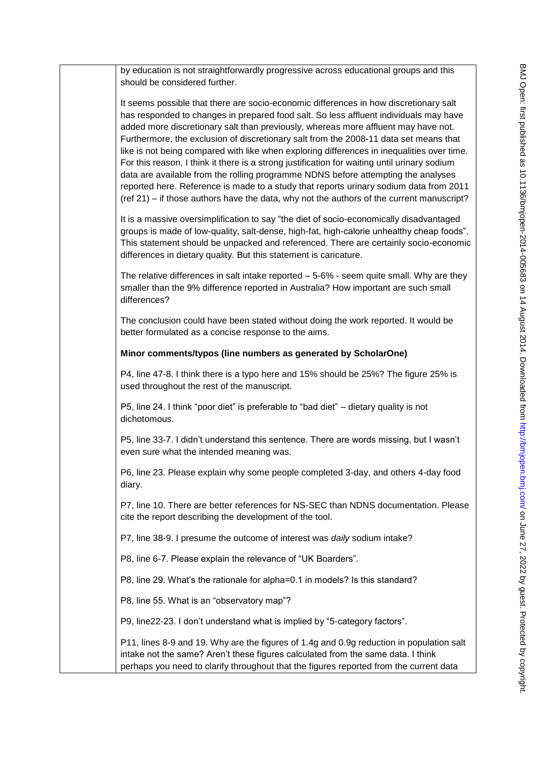by education is not straightforwardly progressive across educational groups and this should be considered further. It seems possible that there are socio-economic differences in how discretionary salt has responded to changes in prepared food salt. So less affluent individuals may have added more discretionary salt than previously, whereas more affluent may have not. Furthermore, the exclusion of discretionary salt from the 2008-11 data set means that like is not being compared with like when exploring differences in inequalities over time. For this reason, I think it there is a strong justification for waiting until urinary sodium data are available from the rolling programme NDNS before attempting the analyses reported here. Reference is made to a study that reports urinary sodium data from 2011 (ref 21) – if those authors have the data, why not the authors of the current manuscript? It is a massive oversimplification to say "the diet of socio-economically disadvantaged groups is made of low-quality, salt-dense, high-fat, high-calorie unhealthy cheap foods". This statement should be unpacked and referenced. There are certainly socio-economic differences in dietary quality. But this statement is caricature. The relative differences in salt intake reported – 5-6% - seem quite small. Why are they smaller than the 9% difference reported in Australia? How important are such small differences? The conclusion could have been stated without doing the work reported. It would be better formulated as a concise response to the aims. **Minor comments/typos (line numbers as generated by ScholarOne)** P4, line 47-8. I think there is a typo here and 15% should be 25%? The figure 25% is used throughout the rest of the manuscript. P5, line 24. I think "poor diet" is preferable to "bad diet" – dietary quality is not dichotomous. P5, line 33-7. I didn"t understand this sentence. There are words missing, but I wasn"t even sure what the intended meaning was. P6, line 23. Please explain why some people completed 3-day, and others 4-day food diary. P7, line 10. There are better references for NS-SEC than NDNS documentation. Please cite the report describing the development of the tool. P7, line 38-9. I presume the outcome of interest was *daily* sodium intake? P8, line 6-7. Please explain the relevance of "UK Boarders". P8, line 29. What's the rationale for alpha=0.1 in models? Is this standard? P8, line 55. What is an "observatory map"? P9, line22-23. I don"t understand what is implied by "5-category factors". P11, lines 8-9 and 19. Why are the figures of 1.4g and 0.9g reduction in population salt intake not the same? Aren't these figures calculated from the same data. I think

perhaps you need to clarify throughout that the figures reported from the current data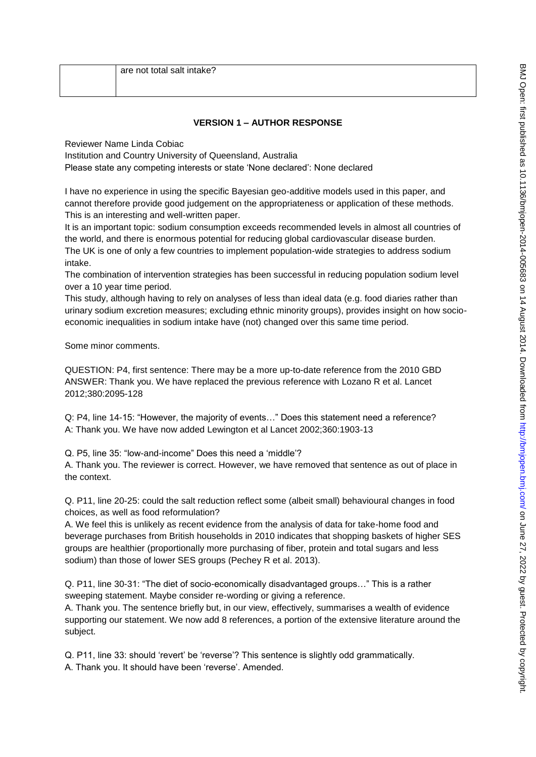# **VERSION 1 – AUTHOR RESPONSE**

Reviewer Name Linda Cobiac

Institution and Country University of Queensland, Australia

Please state any competing interests or state "None declared": None declared

I have no experience in using the specific Bayesian geo-additive models used in this paper, and cannot therefore provide good judgement on the appropriateness or application of these methods. This is an interesting and well-written paper.

It is an important topic: sodium consumption exceeds recommended levels in almost all countries of the world, and there is enormous potential for reducing global cardiovascular disease burden.

The UK is one of only a few countries to implement population-wide strategies to address sodium intake.

The combination of intervention strategies has been successful in reducing population sodium level over a 10 year time period.

This study, although having to rely on analyses of less than ideal data (e.g. food diaries rather than urinary sodium excretion measures; excluding ethnic minority groups), provides insight on how socioeconomic inequalities in sodium intake have (not) changed over this same time period.

Some minor comments.

QUESTION: P4, first sentence: There may be a more up-to-date reference from the 2010 GBD ANSWER: Thank you. We have replaced the previous reference with Lozano R et al. Lancet 2012;380:2095-128

Q: P4, line 14-15: "However, the majority of events…" Does this statement need a reference? A: Thank you. We have now added Lewington et al Lancet 2002;360:1903-13

Q. P5, line 35: "low-and-income" Does this need a "middle"?

A. Thank you. The reviewer is correct. However, we have removed that sentence as out of place in the context.

Q. P11, line 20-25: could the salt reduction reflect some (albeit small) behavioural changes in food choices, as well as food reformulation?

A. We feel this is unlikely as recent evidence from the analysis of data for take-home food and beverage purchases from British households in 2010 indicates that shopping baskets of higher SES groups are healthier (proportionally more purchasing of fiber, protein and total sugars and less sodium) than those of lower SES groups (Pechey R et al. 2013).

Q. P11, line 30-31: "The diet of socio-economically disadvantaged groups…" This is a rather sweeping statement. Maybe consider re-wording or giving a reference.

A. Thank you. The sentence briefly but, in our view, effectively, summarises a wealth of evidence supporting our statement. We now add 8 references, a portion of the extensive literature around the subject.

Q. P11, line 33: should "revert" be "reverse"? This sentence is slightly odd grammatically. A. Thank you. It should have been 'reverse'. Amended.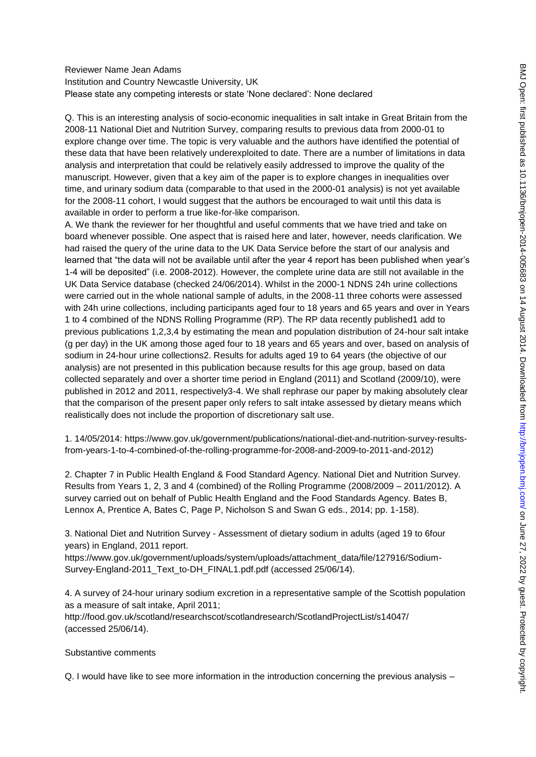### Reviewer Name Jean Adams Institution and Country Newcastle University, UK Please state any competing interests or state "None declared": None declared

Q. This is an interesting analysis of socio-economic inequalities in salt intake in Great Britain from the 2008-11 National Diet and Nutrition Survey, comparing results to previous data from 2000-01 to explore change over time. The topic is very valuable and the authors have identified the potential of these data that have been relatively underexploited to date. There are a number of limitations in data analysis and interpretation that could be relatively easily addressed to improve the quality of the manuscript. However, given that a key aim of the paper is to explore changes in inequalities over time, and urinary sodium data (comparable to that used in the 2000-01 analysis) is not yet available for the 2008-11 cohort, I would suggest that the authors be encouraged to wait until this data is available in order to perform a true like-for-like comparison.

A. We thank the reviewer for her thoughtful and useful comments that we have tried and take on board whenever possible. One aspect that is raised here and later, however, needs clarification. We had raised the query of the urine data to the UK Data Service before the start of our analysis and learned that "the data will not be available until after the year 4 report has been published when year's 1-4 will be deposited" (i.e. 2008-2012). However, the complete urine data are still not available in the UK Data Service database (checked 24/06/2014). Whilst in the 2000-1 NDNS 24h urine collections were carried out in the whole national sample of adults, in the 2008-11 three cohorts were assessed with 24h urine collections, including participants aged four to 18 years and 65 years and over in Years 1 to 4 combined of the NDNS Rolling Programme (RP). The RP data recently published1 add to previous publications 1,2,3,4 by estimating the mean and population distribution of 24-hour salt intake (g per day) in the UK among those aged four to 18 years and 65 years and over, based on analysis of sodium in 24-hour urine collections2. Results for adults aged 19 to 64 years (the objective of our analysis) are not presented in this publication because results for this age group, based on data collected separately and over a shorter time period in England (2011) and Scotland (2009/10), were published in 2012 and 2011, respectively3-4. We shall rephrase our paper by making absolutely clear that the comparison of the present paper only refers to salt intake assessed by dietary means which realistically does not include the proportion of discretionary salt use.

1. 14/05/2014: https://www.gov.uk/government/publications/national-diet-and-nutrition-survey-resultsfrom-years-1-to-4-combined-of-the-rolling-programme-for-2008-and-2009-to-2011-and-2012)

2. Chapter 7 in Public Health England & Food Standard Agency. National Diet and Nutrition Survey. Results from Years 1, 2, 3 and 4 (combined) of the Rolling Programme (2008/2009 – 2011/2012). A survey carried out on behalf of Public Health England and the Food Standards Agency. Bates B, Lennox A, Prentice A, Bates C, Page P, Nicholson S and Swan G eds., 2014; pp. 1-158).

3. National Diet and Nutrition Survey - Assessment of dietary sodium in adults (aged 19 to 6four years) in England, 2011 report.

https://www.gov.uk/government/uploads/system/uploads/attachment\_data/file/127916/Sodium-Survey-England-2011\_Text\_to-DH\_FINAL1.pdf.pdf (accessed 25/06/14).

4. A survey of 24-hour urinary sodium excretion in a representative sample of the Scottish population as a measure of salt intake, April 2011;

http://food.gov.uk/scotland/researchscot/scotlandresearch/ScotlandProjectList/s14047/ (accessed 25/06/14).

Substantive comments

Q. I would have like to see more information in the introduction concerning the previous analysis –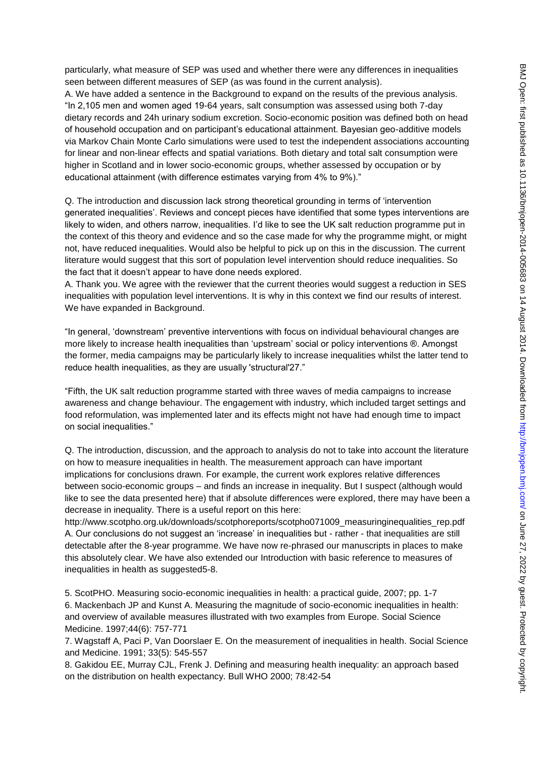particularly, what measure of SEP was used and whether there were any differences in inequalities seen between different measures of SEP (as was found in the current analysis).

A. We have added a sentence in the Background to expand on the results of the previous analysis. "In 2,105 men and women aged 19-64 years, salt consumption was assessed using both 7-day dietary records and 24h urinary sodium excretion. Socio-economic position was defined both on head of household occupation and on participant"s educational attainment. Bayesian geo-additive models via Markov Chain Monte Carlo simulations were used to test the independent associations accounting for linear and non-linear effects and spatial variations. Both dietary and total salt consumption were higher in Scotland and in lower socio-economic groups, whether assessed by occupation or by educational attainment (with difference estimates varying from 4% to 9%)."

Q. The introduction and discussion lack strong theoretical grounding in terms of "intervention generated inequalities". Reviews and concept pieces have identified that some types interventions are likely to widen, and others narrow, inequalities. I"d like to see the UK salt reduction programme put in the context of this theory and evidence and so the case made for why the programme might, or might not, have reduced inequalities. Would also be helpful to pick up on this in the discussion. The current literature would suggest that this sort of population level intervention should reduce inequalities. So the fact that it doesn"t appear to have done needs explored.

A. Thank you. We agree with the reviewer that the current theories would suggest a reduction in SES inequalities with population level interventions. It is why in this context we find our results of interest. We have expanded in Background.

"In general, "downstream" preventive interventions with focus on individual behavioural changes are more likely to increase health inequalities than "upstream" social or policy interventions ®. Amongst the former, media campaigns may be particularly likely to increase inequalities whilst the latter tend to reduce health inequalities, as they are usually 'structural'27."

"Fifth, the UK salt reduction programme started with three waves of media campaigns to increase awareness and change behaviour. The engagement with industry, which included target settings and food reformulation, was implemented later and its effects might not have had enough time to impact on social inequalities."

Q. The introduction, discussion, and the approach to analysis do not to take into account the literature on how to measure inequalities in health. The measurement approach can have important implications for conclusions drawn. For example, the current work explores relative differences between socio-economic groups – and finds an increase in inequality. But I suspect (although would like to see the data presented here) that if absolute differences were explored, there may have been a decrease in inequality. There is a useful report on this here:

http://www.scotpho.org.uk/downloads/scotphoreports/scotpho071009\_measuringinequalities\_rep.pdf A. Our conclusions do not suggest an "increase" in inequalities but - rather - that inequalities are still detectable after the 8-year programme. We have now re-phrased our manuscripts in places to make this absolutely clear. We have also extended our Introduction with basic reference to measures of inequalities in health as suggested5-8.

5. ScotPHO. Measuring socio-economic inequalities in health: a practical guide, 2007; pp. 1-7 6. Mackenbach JP and Kunst A. Measuring the magnitude of socio-economic inequalities in health: and overview of available measures illustrated with two examples from Europe. Social Science Medicine. 1997;44(6): 757-771

7. Wagstaff A, Paci P, Van Doorslaer E. On the measurement of inequalities in health. Social Science and Medicine. 1991; 33(5): 545-557

8. Gakidou EE, Murray CJL, Frenk J. Defining and measuring health inequality: an approach based on the distribution on health expectancy. Bull WHO 2000; 78:42-54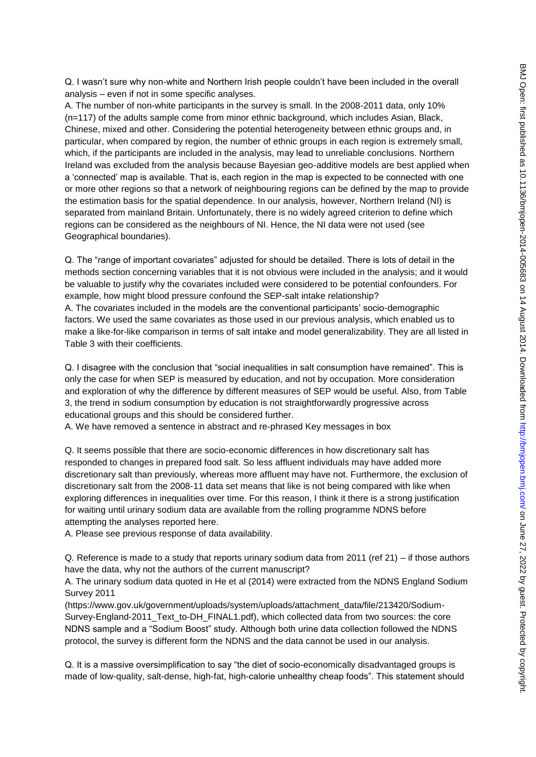Q. I wasn"t sure why non-white and Northern Irish people couldn"t have been included in the overall analysis – even if not in some specific analyses.

A. The number of non-white participants in the survey is small. In the 2008-2011 data, only 10% (n=117) of the adults sample come from minor ethnic background, which includes Asian, Black, Chinese, mixed and other. Considering the potential heterogeneity between ethnic groups and, in particular, when compared by region, the number of ethnic groups in each region is extremely small, which, if the participants are included in the analysis, may lead to unreliable conclusions. Northern Ireland was excluded from the analysis because Bayesian geo-additive models are best applied when a "connected" map is available. That is, each region in the map is expected to be connected with one or more other regions so that a network of neighbouring regions can be defined by the map to provide the estimation basis for the spatial dependence. In our analysis, however, Northern Ireland (NI) is separated from mainland Britain. Unfortunately, there is no widely agreed criterion to define which regions can be considered as the neighbours of NI. Hence, the NI data were not used (see Geographical boundaries).

Q. The "range of important covariates" adjusted for should be detailed. There is lots of detail in the methods section concerning variables that it is not obvious were included in the analysis; and it would be valuable to justify why the covariates included were considered to be potential confounders. For example, how might blood pressure confound the SEP-salt intake relationship? A. The covariates included in the models are the conventional participants" socio-demographic factors. We used the same covariates as those used in our previous analysis, which enabled us to make a like-for-like comparison in terms of salt intake and model generalizability. They are all listed in Table 3 with their coefficients.

Q. I disagree with the conclusion that "social inequalities in salt consumption have remained". This is only the case for when SEP is measured by education, and not by occupation. More consideration and exploration of why the difference by different measures of SEP would be useful. Also, from Table 3, the trend in sodium consumption by education is not straightforwardly progressive across educational groups and this should be considered further.

A. We have removed a sentence in abstract and re-phrased Key messages in box

Q. It seems possible that there are socio-economic differences in how discretionary salt has responded to changes in prepared food salt. So less affluent individuals may have added more discretionary salt than previously, whereas more affluent may have not. Furthermore, the exclusion of discretionary salt from the 2008-11 data set means that like is not being compared with like when exploring differences in inequalities over time. For this reason, I think it there is a strong justification for waiting until urinary sodium data are available from the rolling programme NDNS before attempting the analyses reported here.

A. Please see previous response of data availability.

Q. Reference is made to a study that reports urinary sodium data from 2011 (ref 21) – if those authors have the data, why not the authors of the current manuscript?

A. The urinary sodium data quoted in He et al (2014) were extracted from the NDNS England Sodium Survey 2011

(https://www.gov.uk/government/uploads/system/uploads/attachment\_data/file/213420/Sodium-Survey-England-2011\_Text\_to-DH\_FINAL1.pdf), which collected data from two sources: the core NDNS sample and a "Sodium Boost" study. Although both urine data collection followed the NDNS protocol, the survey is different form the NDNS and the data cannot be used in our analysis.

Q. It is a massive oversimplification to say "the diet of socio-economically disadvantaged groups is made of low-quality, salt-dense, high-fat, high-calorie unhealthy cheap foods". This statement should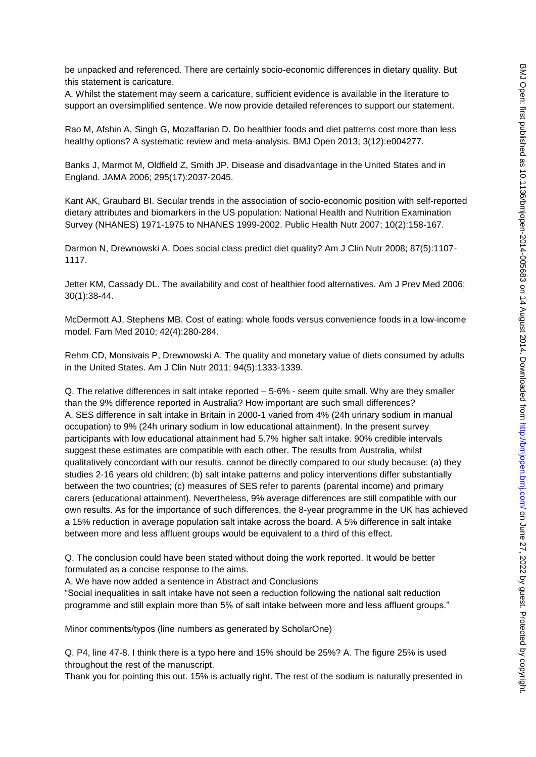be unpacked and referenced. There are certainly socio-economic differences in dietary quality. But this statement is caricature.

A. Whilst the statement may seem a caricature, sufficient evidence is available in the literature to support an oversimplified sentence. We now provide detailed references to support our statement.

Rao M, Afshin A, Singh G, Mozaffarian D. Do healthier foods and diet patterns cost more than less healthy options? A systematic review and meta-analysis. BMJ Open 2013; 3(12):e004277.

Banks J, Marmot M, Oldfield Z, Smith JP. Disease and disadvantage in the United States and in England. JAMA 2006; 295(17):2037-2045.

Kant AK, Graubard BI. Secular trends in the association of socio-economic position with self-reported dietary attributes and biomarkers in the US population: National Health and Nutrition Examination Survey (NHANES) 1971-1975 to NHANES 1999-2002. Public Health Nutr 2007; 10(2):158-167.

Darmon N, Drewnowski A. Does social class predict diet quality? Am J Clin Nutr 2008; 87(5):1107- 1117.

Jetter KM, Cassady DL. The availability and cost of healthier food alternatives. Am J Prev Med 2006; 30(1):38-44.

McDermott AJ, Stephens MB. Cost of eating: whole foods versus convenience foods in a low-income model. Fam Med 2010; 42(4):280-284.

Rehm CD, Monsivais P, Drewnowski A. The quality and monetary value of diets consumed by adults in the United States. Am J Clin Nutr 2011; 94(5):1333-1339.

Q. The relative differences in salt intake reported – 5-6% - seem quite small. Why are they smaller than the 9% difference reported in Australia? How important are such small differences? A. SES difference in salt intake in Britain in 2000-1 varied from 4% (24h urinary sodium in manual occupation) to 9% (24h urinary sodium in low educational attainment). In the present survey participants with low educational attainment had 5.7% higher salt intake. 90% credible intervals suggest these estimates are compatible with each other. The results from Australia, whilst qualitatively concordant with our results, cannot be directly compared to our study because: (a) they studies 2-16 years old children; (b) salt intake patterns and policy interventions differ substantially between the two countries; (c) measures of SES refer to parents (parental income) and primary carers (educational attainment). Nevertheless, 9% average differences are still compatible with our own results. As for the importance of such differences, the 8-year programme in the UK has achieved a 15% reduction in average population salt intake across the board. A 5% difference in salt intake between more and less affluent groups would be equivalent to a third of this effect.

Q. The conclusion could have been stated without doing the work reported. It would be better formulated as a concise response to the aims.

A. We have now added a sentence in Abstract and Conclusions

"Social inequalities in salt intake have not seen a reduction following the national salt reduction programme and still explain more than 5% of salt intake between more and less affluent groups."

Minor comments/typos (line numbers as generated by ScholarOne)

Q. P4, line 47-8. I think there is a typo here and 15% should be 25%? A. The figure 25% is used throughout the rest of the manuscript.

Thank you for pointing this out. 15% is actually right. The rest of the sodium is naturally presented in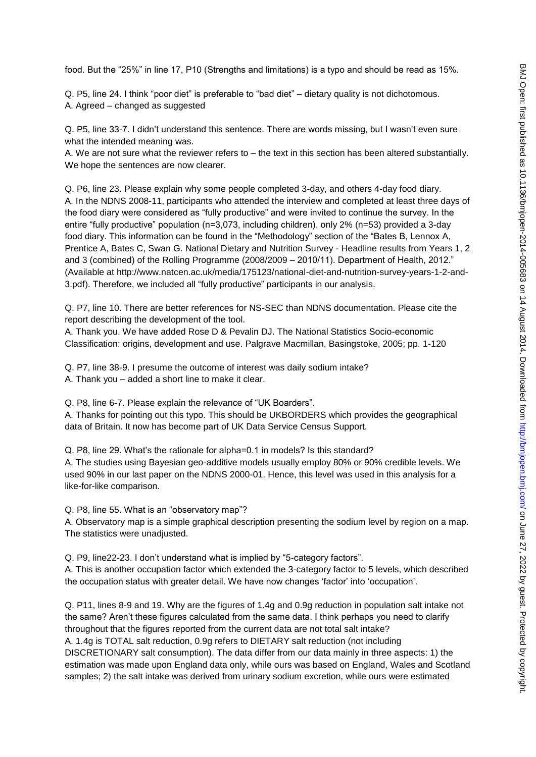food. But the "25%" in line 17, P10 (Strengths and limitations) is a typo and should be read as 15%.

Q. P5, line 24. I think "poor diet" is preferable to "bad diet" – dietary quality is not dichotomous. A. Agreed – changed as suggested

Q. P5, line 33-7. I didn"t understand this sentence. There are words missing, but I wasn"t even sure what the intended meaning was.

A. We are not sure what the reviewer refers to – the text in this section has been altered substantially. We hope the sentences are now clearer.

Q. P6, line 23. Please explain why some people completed 3-day, and others 4-day food diary. A. In the NDNS 2008-11, participants who attended the interview and completed at least three days of the food diary were considered as "fully productive" and were invited to continue the survey. In the entire "fully productive" population (n=3,073, including children), only 2% (n=53) provided a 3-day food diary. This information can be found in the "Methodology" section of the "Bates B, Lennox A, Prentice A, Bates C, Swan G. National Dietary and Nutrition Survey - Headline results from Years 1, 2 and 3 (combined) of the Rolling Programme (2008/2009 – 2010/11). Department of Health, 2012." (Available at http://www.natcen.ac.uk/media/175123/national-diet-and-nutrition-survey-years-1-2-and-3.pdf). Therefore, we included all "fully productive" participants in our analysis.

Q. P7, line 10. There are better references for NS-SEC than NDNS documentation. Please cite the report describing the development of the tool.

A. Thank you. We have added Rose D & Pevalin DJ. The National Statistics Socio-economic Classification: origins, development and use. Palgrave Macmillan, Basingstoke, 2005; pp. 1-120

Q. P7, line 38-9. I presume the outcome of interest was daily sodium intake? A. Thank you – added a short line to make it clear.

Q. P8, line 6-7. Please explain the relevance of "UK Boarders".

A. Thanks for pointing out this typo. This should be UKBORDERS which provides the geographical data of Britain. It now has become part of UK Data Service Census Support.

Q. P8, line 29. What"s the rationale for alpha=0.1 in models? Is this standard?

A. The studies using Bayesian geo-additive models usually employ 80% or 90% credible levels. We used 90% in our last paper on the NDNS 2000-01. Hence, this level was used in this analysis for a like-for-like comparison.

Q. P8, line 55. What is an "observatory map"?

A. Observatory map is a simple graphical description presenting the sodium level by region on a map. The statistics were unadjusted.

Q. P9, line22-23. I don"t understand what is implied by "5-category factors".

A. This is another occupation factor which extended the 3-category factor to 5 levels, which described the occupation status with greater detail. We have now changes "factor" into "occupation".

Q. P11, lines 8-9 and 19. Why are the figures of 1.4g and 0.9g reduction in population salt intake not the same? Aren"t these figures calculated from the same data. I think perhaps you need to clarify throughout that the figures reported from the current data are not total salt intake? A. 1.4g is TOTAL salt reduction, 0.9g refers to DIETARY salt reduction (not including

DISCRETIONARY salt consumption). The data differ from our data mainly in three aspects: 1) the estimation was made upon England data only, while ours was based on England, Wales and Scotland samples; 2) the salt intake was derived from urinary sodium excretion, while ours were estimated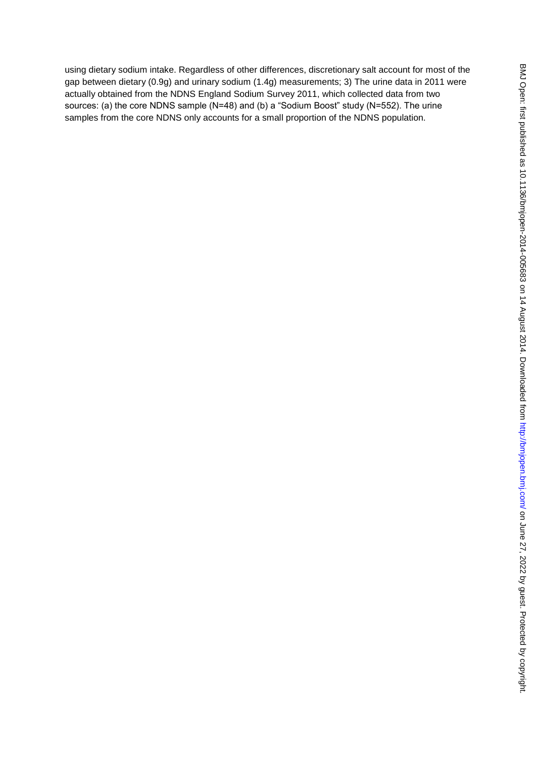using dietary sodium intake. Regardless of other differences, discretionary salt account for most of the gap between dietary (0.9g) and urinary sodium (1.4g) measurements; 3) The urine data in 2011 were actually obtained from the NDNS England Sodium Survey 2011, which collected data from two sources: (a) the core NDNS sample (N=48) and (b) a "Sodium Boost" study (N=552). The urine samples from the core NDNS only accounts for a small proportion of the NDNS population.